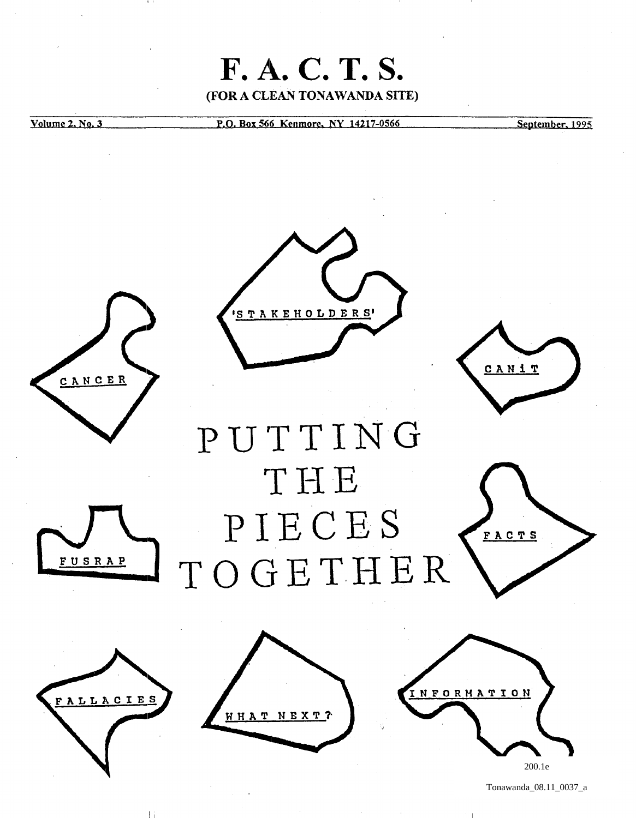

Tonawanda\_08.11\_0037\_a

Ii I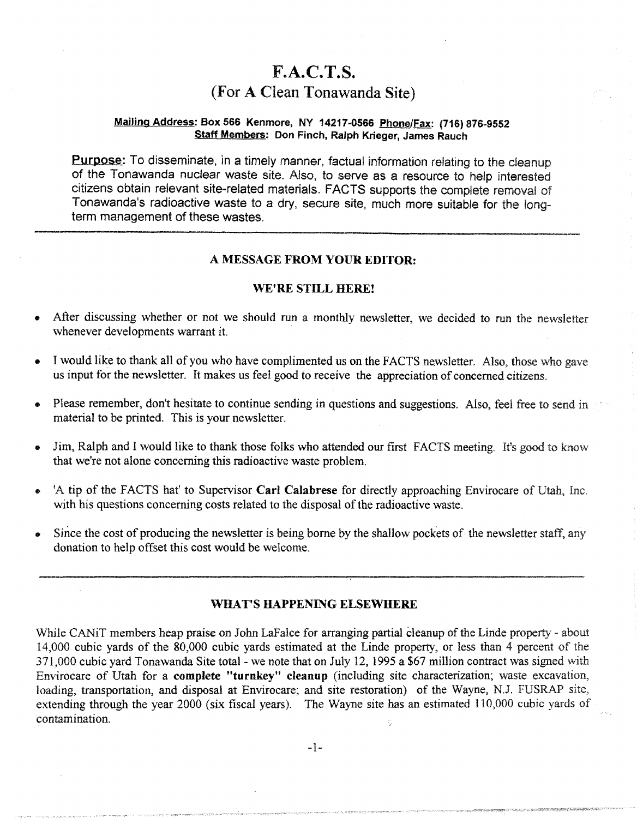# F.A.C.T.S. (For A Clean Tonawanda Site)

# Mailing Address: Box 566 Kenmore, NY 14217-0566 Phone/Fax: (716) 876-9552 Staff Members: Don Finch, Ralph Krieger, James Rauch

Purpose: To disseminate, in a timely manner, factual information relating to the cleanup of the Tonawanda nuclear waste site. Also, to serve as a resource to help interested citizens obtain relevant site-related materials. FACTS supports the complete removal of Tonawanda's radioactive waste to a dry, secure site, much more suitable for the longterm management of these wastes.

# A MESSAGE FROM YOUR EDITOR:

# WE'RE STILL HERE!

- After discussing whether or not we should run a monthly newsletter, we decided to run the newsletter whenever developments warrant it.
- I would like to thank all of you who have complimented us on the FACTS newsletter. Also, those who gave us input for the newsletter. It makes us feel good to receive the appreciation of concerned citizens.
- Please remember, don't hesitate to continue sending in questions and suggestions. Also, feel free to send in material to be printed. This is your newsletter.
- Jim, Ralph and I would like to thank those folks who attended our first FACTS meeting. It's good to know that we're not alone concerning this radioactive waste problem.
- A tip of the FACTS hat' to Supervisor Carl Calabrese for directly approaching Envirocare of Utah, Inc. with his questions concerning costs related to the disposal of the radioactive waste.
- Since the cost of producing the newsletter is being borne by the shallow pockets of the newsletter staff, any donation to help offset this cost would be welcome.

## WHAT'S HAPPENING ELSEWHERE

While CANiT members heap praise on John LaFalce for arranging partial cleanup of the Linde property - about 14,000 cubic yards of the 80,000 cubic yards estimated at the Linde property, or less than 4 percent of the 371,000 cubic yard Tonawanda Site total- we note that on July 12, 1995 a \$67 million contract was signed with Envirocare of Utah for a complete "turnkey" cleanup (including site characterization; waste excavation, loading, transportation, and disposal at Envirocare; and site restoration) of the Wayne, N.J. FUSRAP site, extending through the year 2000 (six fiscal years). The Wayne site has an estimated 110,000 cubic yards of contamination.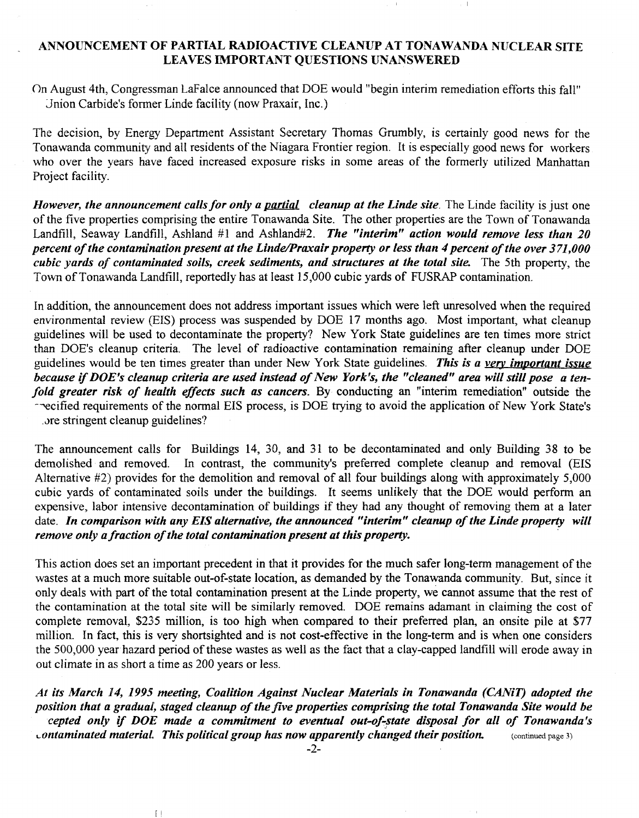# ANNOUNCEMENT OF PARTIAL RADIOACTIVE CLEANUP AT TONAWANDA NUCLEAR SITE LEAVES IMPORTANT QUESTIONS UNANSWERED

On August 4th, Congressman Lafalce announced that DOE would "begin interim remediation efforts this fall" Jnion Carbide's forrner Linde facility (now Praxair, Inc.)

The decision, by Energy Department Assistant Secretary Thomas Grumbly, is certainly good news for the Tonawanda community and all residents of the Niagara Frontier region. It is especially good news for workers who over the years have faced increased exposure risks in some areas of the formerly utilized Manhattan Project facility.

*However, the announcement calls for only a partial cleanup at the Linde site.* The Linde facility is just one of the five properties comprising the entire Tonawanda Site. The other properties are the Town of Tonawanda Landfill, Seaway Landfill, Ashland #1 and Ashland#2. *The "interim" action would remove less than 20 percent of the contamination present at the Linde/Praxair property or less than 4 percent of the over 371,000 cubic yards of contaminated soils, creek sediments, and structures at the total site.* The 5th property, the Town of Tonawanda Landfill, reportedly has at least 15,000 cubic yards of FUSRAP contamination.

In addition, the announcement does not address important issues which were left unresolved when the required environmental review (EIS) process was suspended by DOE 17 months ago. Most important, what cleanup guidelines will be used to decontaminate the property? New York State guidelines are ten times more strict than DOE's cleanup criteria. The level of radioactive contamination remaining after cleanup under DOE guidelines would be ten times greater than under New York State guidelines. *This is a very important issue because* if *DOE's cleanup criteria are used instead of New York's, the "cleaned" area will still pose a tenfold greater risk of health effects such as cancers.* By conducting an "interim remediation" outside the recified requirements of the normal EIS process, is DOE trying to avoid the application of New York State's .ore stringent cleanup guidelines?

The announcement calls for Buildings 14, 30, and 31 to be decontaminated and only Building 38 to be demolished and removed. In contrast, the community's preferred complete cleanup and removal (ElS Alternative #2) provides for the demolition and removal of all four buildings along with approximately 5,000 cubic yards of contaminated soils under the buildings. It seems unlikely that the DOE would perform an expensive, labor intensive decontamination of buildings if they had any thought of removing them at a later date. *In comparison with any EIS alternative, the announced "interim" cleanup of the Linde property will remove only a fraction of the total contamination present at this property.* 

This action does set an important precedent in that it provides for the much safer long-term management of the wastes at a much more suitable out-of-state location, as demanded by the Tonawanda community. But, since it only deals with part of the total contamination present at the Linde property, we cannot assume that the rest of the contamination at the total site will be similarly removed. DOE remains adamant in claiming the cost of complete removal, \$235 million, is too high when compared to their preferred plan, an onsite pile at \$77 million. In fact, this is very shortsighted and is not cost-effective in the long-term and is when one considers the 500,000 year hazard period of these wastes as well as the fact that a clay-capped landfill will erode away in out climate in as short a time as 200 years or less.

*At its March* 14, 1995 *meeting, Coalition Against Nuclear Materials in Tonawanda (CANiT) adopted the position that a gradual, staged cleanup of the five properties comprising the total Tonawanda Site would be cepted only if DOE made a commitment to eventual out-of-state disposal for all of Tonawanda's Lontaminated material. This political group has now apparently changed their position.* (continued page 3)

II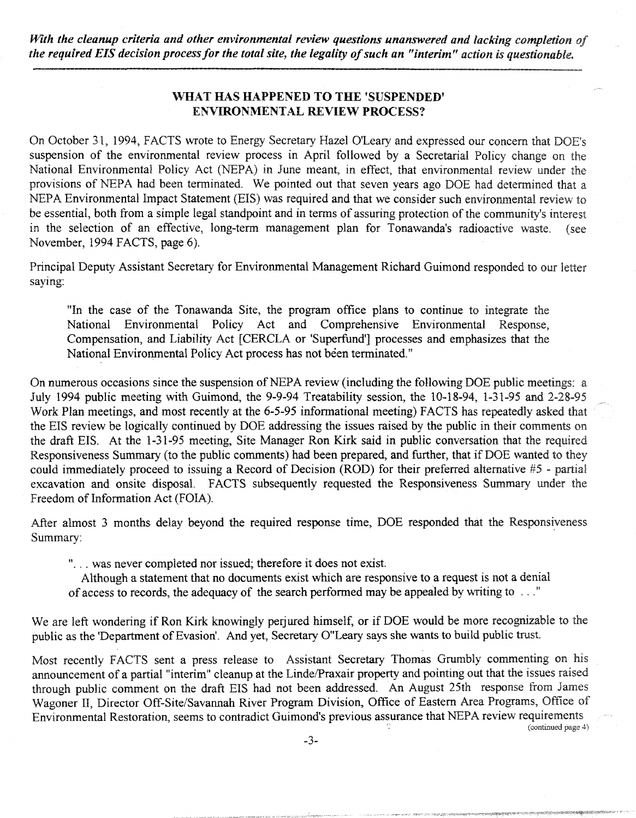*With the cleanup criteria and other environmental review questions unanswered and lacking completion of the required EIS decision process for the total site, the legality of such an "interim" action is questionable.* 

# WHAT HAS HAPPENED TO THE 'SUSPENDED' ENVIRONMENTAL REVIEW PROCESS?

On October 31, 1994, FACTS wrote to Energy Secretary Hazel O'Leary and expressed our concern that DOE's suspension of the environmental review process in April followed by a Secretarial Policy change on the National Environmental Policy Act (NEPA) in June meant, in effect, that environmental review under the provisions of NEPA had been terminated. We pointed out that seven years ago DOE had determined that a NEPA Environmental Impact Statement (EIS) was required and that we consider such environmental review to be essential, both from a simple legal standpoint and in terms of assuring protection of the communiry's interest in the selection of an effective, long-term management plan for Tonawanda's radioactive waste. (see November, 1994 FACTS, page 6).

Principal Deputy Assistant Secretary for Environmental Management Richard Guimond responded to our letter saying:

"In the case of the Tonawanda Site, the program office plans to continue to integrate the National Environmental Policy Act and Comprehensive Environmental Response, Compensation, and Liability Act [CERCLA or 'Superfund'] processes and emphasizes that the National Environmental Policy Act process has not been terminated."

On numerous occasions since the suspension of NEPA review (including the following DOE public meetings: a July 1994 public meeting with Guimond, the 9-9-94 Treatability session, the 10-18-94, 1-31-95 and 2-28-95 Work Plan meetings, and most recently at the 6-5-95 informational meeting) FACTS has repeatedly asked that the EIS review be logically continued by DOE addressing the issues raised by the public in their comments on the draft EIS. At the 1-31-95 meeting, Site Manager Ron Kirk said in public conversation that the required Responsiveness Summary (to the public comments) had been prepared, and further, that if DOE wanted to they could immediately proceed to issuing a Record of Decision (ROD) for their preferred alternative #5 - partial excavation and onsite disposal. FACTS subsequently requested the Responsiveness Summary under the Freedom of Information Act (FOIA).

After almost 3 months delay beyond the required response time, DOE responded that the Responsiveness Summary:

"... was never completed nor issued; therefore it does not exist.

Although a statement that no documents exist which are responsive to a request is not a denial of access to records, the adequacy of the search performed may be appealed by writing to ... "

We are left wondering if Ron Kirk knowingly periured himself, or if DOE would be more recognizable to the public as the 'Department of Evasion'. And yet, Secretary O"Leary says she wants to build public trust.

Most recently FACTS sent a press release to Assistant Secretary Thomas Grumbly commenting on his announcement of a partial "interim" cleanup at the Linde/Praxair property and pointing out that the issues raised through public comment on the draft EIS had not been addressed. An August 25th response from James Wagoner II, Director Off-Site/Savannah River Program Division, Office of Eastern Area Programs, Office of Environmental Restoration, seems to contradict Guimond's previous assurance that NEP A review requirements

(continued page 4)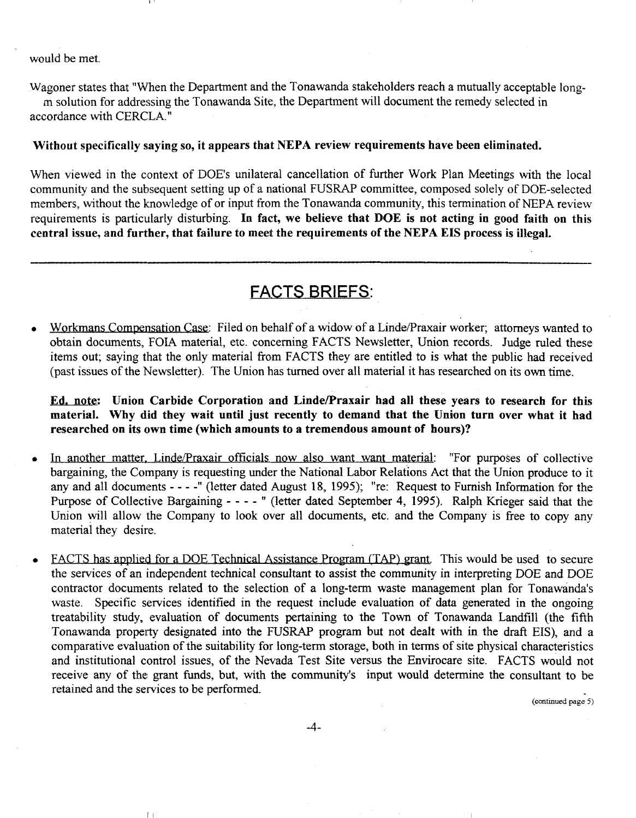#### would be met.

Ii I

II

Wagoner states that "When the Department and the Tonawanda stakeholders reach a mutually acceptable longm solution for addressing the Tonawanda Site, the Department will document the remedy selected in accordance with CERCLA."

#### Without specifically saying so, it appears that NEPA review requirements have been eliminated.

When viewed in the context of DOE's unilateral cancellation of further Work Plan Meetings with the local community and the subsequent setting up of a national FUSRAP committee, composed solely of DOE-selected members, without the knowledge of or input from the Tonawanda community, this termination of NEPA review requirements is particularly disturbing. In fact, we believe that DOE is not acting in good faith on this central issue, and further, that failure to meet the requirements of the NEPA EIS process is illegal.

# FACTS BRIEFS:

Workmans Compensation Case: Filed on behalf of a widow of a Linde/Praxair worker; attorneys wanted to obtain documents, FOIA material, etc. concerning FACTS Newsletter, Union records. Judge ruled these items out; saying that the only material from FACTS they are entitled to is what the public had received (past issues of the Newsletter). The Union has turned over all material it has researched on its own time.

Ed. note: Union Carbide Corporation and Linde/Praxair had all these years to research for this material. Why did they wait until just recently to demand that the Union turn over what it had researched on its own time (which amounts to a tremendous amount of hours)?

- In another matter, Linde/Praxair officials now also want want material: "For purposes of collective bargaining, the Company is requesting under the National Labor Relations Act that the Union produce to it any and all documents - - - " (letter dated August 18, 1995); "re: Request to Furnish Information for the Purpose of Collective Bargaining - - - - " (letter dated September 4, 1995). Ralph Krieger said that the Union will allow the Company to look over all documents, etc. and the Company is free to copy any material they desire.
- F ACTS has applied for a DOE Technical Assistance Program (TAP) grant. This would be used to secure the services of an independent technical consultant to assist the community in interpreting DOE and DOE contractor documents related to the selection of a long-term waste management plan for Tonawanda's waste. Specific services identified in the request include evaluation of data generated in the ongoing treatability study, evaluation of documents pertaining to the Town of Tonawanda Landfill (the fifth Tonawanda property designated into the FUSRAP program but not dealt with in the draft EIS), and a comparative evaluation of the suitability for long-term storage, both in terms of site physical characteristics and institutional control issues, of the Nevada Test Site versus the Envirocare site. FACTS would not receive any of the grant funds, but, with the community's input would determine the consultant to be retained and the services to be performed.

(continued page 5)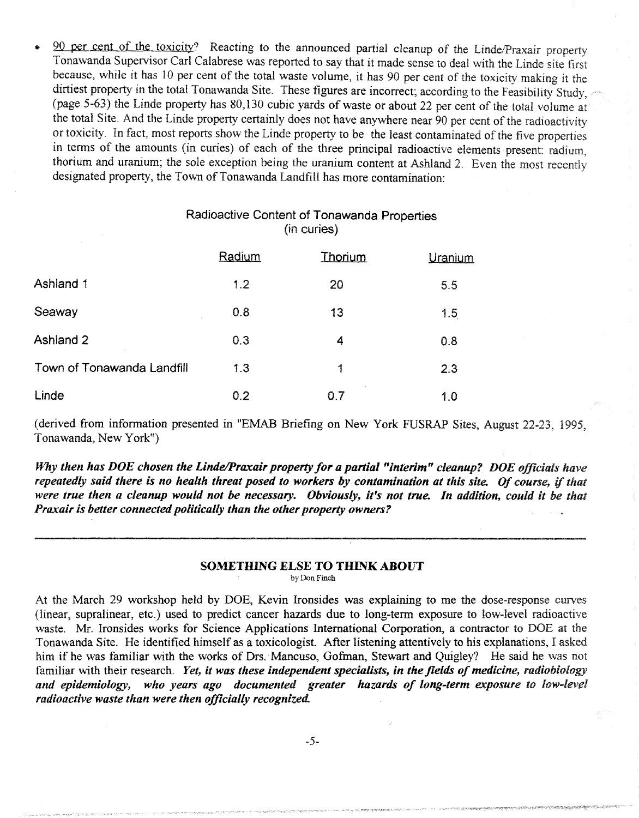90 per cent of the toxicity? Reacting to the announced partial cleanup of the Linde/Praxair property Tonawanda Supervisor Carl Calabrese was reported to say that it made sense to deal with the Linde site first because, while it has 10 per cent of the total waste volume, it has 90 per cent of the toxicity making it the dirtiest property in the total Tonawanda Site. These figures are incorrect; according to the Feasibility Study, (page 5-63) the Linde property has 80,130 cubic yards of waste or about 22 per cent of the total volume at the total Site. And the Linde property certainly does not have anywhere near 90 per cent of the radioactivity or toxicity. In fact, most reports show the Linde property to be the least contaminated of the five properties in terms of the amounts (in curies) of each of the three principal radioactive elements present: radium, thorium and uranium; the sole exception being the uranium content at Ashland 2. Even the most recently designated property, the Town of Tonawanda Landfill has more contamination:

# Radioactive Content of Tonawanda Properties (in curies)

|                            | Radium | Thorium | Uranium |
|----------------------------|--------|---------|---------|
| Ashland 1                  | 1.2    | 20      | 5.5     |
| Seaway                     | 0.8    | 13      | 1.5     |
| Ashland 2                  | 0.3    | 4       | 0.8     |
| Town of Tonawanda Landfill | 1.3    | 1       | 2.3     |
| Linde                      | 0.2    | 0.7     | 1.0     |

(derived from information presented in "EMAB Briefing on New York FUSRAP Sites, August 22-23, 1995, Tonawanda, New York")

*Why then has DOE chosen the Linde/Praxair property for a partial "interim" cleanup? DOE officials have repeatedly said there is no health threat posed to workers by contamination at this site. Of course,* if *that were true then a cleanup would not be necessary. Obviously, it's not true. In addition, could it be that Praxair is better connected politically than the other property owners?* 

# SOMETHING ELSE TO THINK ABOUT

by Don Finch

At the March 29 workshop held by DOE, Kevin Ironsides was explaining to me the dose-response curves (linear, supralinear, etc.) used to predict cancer hazards due to long-term exposure to low-level radioactive waste. Mr. Ironsides works for Science Applications International Corporation, a contractor to DOE at the Tonawanda Site. He identified himself as a toxicologist. After listening attentively to his explanations, I asked him if he was familiar with the works of Drs. Mancuso, Gofman, Stewart and Quigley? He said he was not familiar with their research. *Yet, it was these independent specialists, in the fields of medicine, radiobiology and epidemiology, who years ago documented greater hazards of long-term exposure to low-level radioactive waste than were then officially recognized.*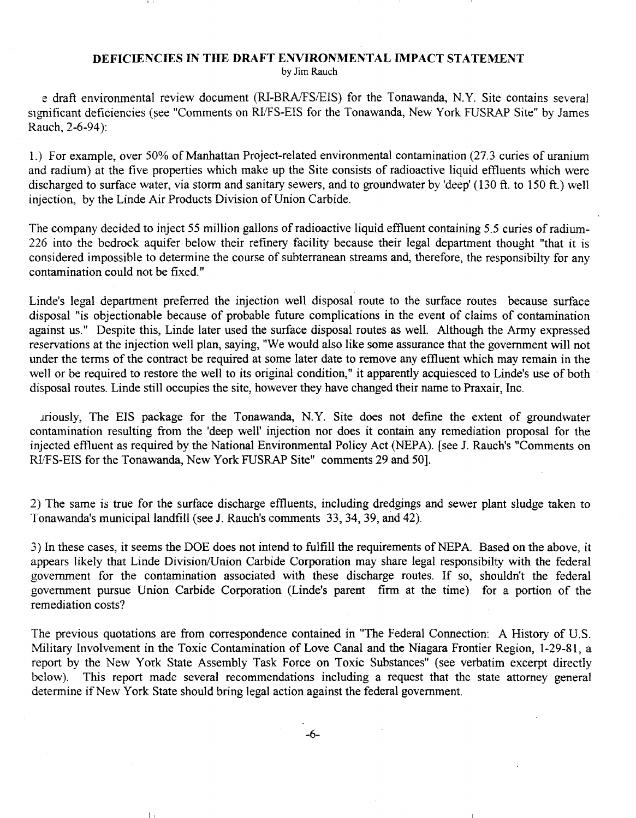### DEFICIENCIES IN THE DRAFT ENVIRONMENTAL IMPACT STATEMENT

by Jim Rauch

e draft environmental review document (RI-BRA/FS/EIS) for the Tonawanda, N.Y. Site contains several significant deficiencies (see "Comments on RI/FS-EIS for the Tonawanda, New York FUSRAP Site" by James Rauch, 2-6-94):

l.) For example, over 50% of Manhattan Project-related environmental contamination (27.3 curies of uranium and radium) at the five properties which make up the Site consists of radioactive liquid effluents which were discharged to surface water, via storm and sanitary sewers, and to groundwater by 'deep' (130 ft. to 150 ft.) well injection, by the Linde Air Products Division of Union Carbide.

The company decided to inject 55 million gallons of radioactive liquid effluent containing 5.5 curies of radium-226 into the bedrock aquifer below their refinery facility because their legal department thought "that it is considered impossible to determine the course of subterranean streams and, therefore, the responsibilty for any contamination could not be fixed."

Linde's legal department preferred the injection well disposal route to the surface routes because surface disposal "is objectionable because of probable future complications in the event of claims of contamination against us." Despite this, Linde later used the surface disposal routes as well. Although the Army expressed reservations at the injection well plan, saying, "We would also like some assurance that the government will not under the terms of the contract be required at some later date to remove any effluent which may remain in the well or be required to restore the well to its original condition," it apparently acquiesced to Linde's use of both disposal routes. Linde still occupies the site, however they have changed their name to Praxair, Inc.

lfiously, The EIS package for the Tonawanda, N.Y. Site does not define the extent of groundwater contamination resulting from the 'deep well' injection nor does it contain any remediation proposal for the injected effluent as required by the National Environmental Policy Act (NEPA). [see J. Rauch's "Comments on RIlFS-EIS for the Tonawanda, New York FUSRAP Site" comments 29 and 50].

2) The same is true for the surface discharge effluents, including dredgings and sewer plant sludge taken to Tonawanda's municipal landfill (see J. Rauch's comments 33,34,39, and 42).

3) In these cases, it seems the DOE does not intend to fulfill the requirements of NEP A. Based on the above, it appears likely that Linde Division/Union Carbide Corporation may share legal responsibilty with the federal government for the contamination associated with these discharge routes. If so, shouldn't the federal government pursue Union Carbide Corporation (Linde's parent finn at the time) for a portion of the remediation costs?

The previous quotations are from correspondence contained in "The Federal Connection: A History of U.S. Military Involvement in the Toxic Contamination of Love Canal and the Niagara Frontier Region, 1-29-81, a report by the New York State Assembly Task Force on Toxic Substances" (see verbatim excerpt directly below). This report made several recommendations including a request that the state attorney general determine if New York State should bring legal action against the federal government.

-6-

I: I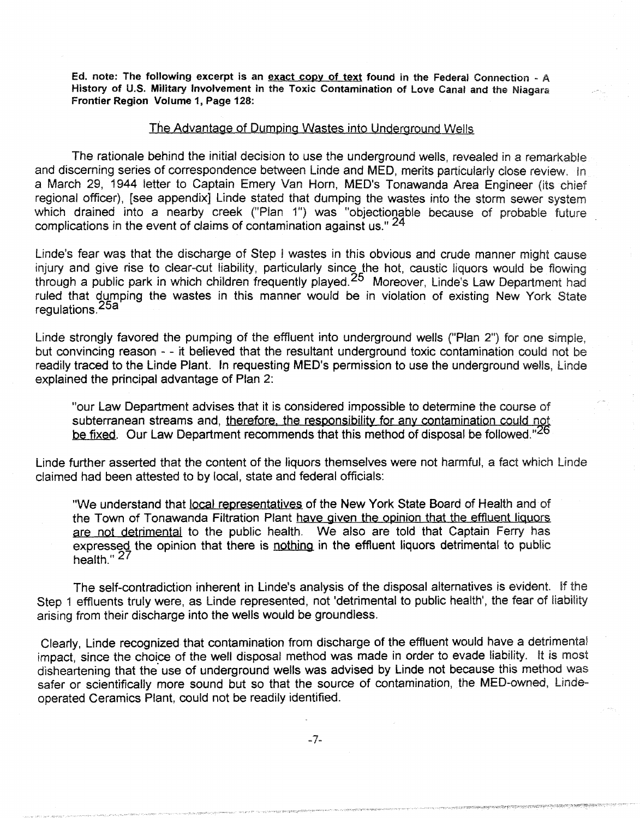Ed. note: The following excerpt is an exact copy of text found in the Federal Connection - A History of U.S. Military Involvement in the Toxic Contamination of Love Canal and the Niagara Frontier Region Volume 1, Page 128:

#### *The* Advantage of Dumping Wastes into Underground Weils

The rationale behind the initial decision to use the underground wells, revealed in a remarkable and discerning series of correspondence between Linde and MED, merits particularly close review. In a March 29, 1944 letter to Captain Emery Van Horn, MED's Tonawanda Area Engineer (its chief regional officer), [see appendix] Linde stated that dumping the wastes into the storm sewer system which drained into a nearby creek ("Plan 1") was "objectionable because of probable future complications in the event of claims of contamination against us." 24

Linde's fear was that the discharge of Step I wastes in this obvious and crude manner might cause injury and give rise to clear-cut liability, particularly since the hot, caustic liquors would be flowing through a public park in which children frequently played.25 Moreover, Linde's Law Department had ruled that dumping the wastes in this manner would be in violation of existing New York State regulations.25a

Linde strongly favored the pumping of the effluent into underground wells ("Plan 2") for one simple, but convincing reason - - it believed that the resultant underground toxic contamination could not be readily traced to the Linde Plant. In requesting MED's permission to use the underground wells, Linde explained the principal advantage of Plan 2:

"our Law Department advises that it is considered impossible to determine the course of subterranean streams and, therefore, the responsibility for any contamination could not be fixed. Our Law Department recommends that this method of disposal be followed."<sup>26</sup>

Linde further asserted that the content of the liquors themselves were not harmful, a fact which linde claimed had been attested to by local, state and federal officials:

"We understand that local representatives of the New York State Board of Health and of the Town of Tonawanda Filtration Plant have given the opinion that the effluent liquors are not detrimental to the public health. We also are told that Captain Ferry has expressed the opinion that there is nothing in the effluent liquors detrimental to public health." 27

The self-contradiction inherent in Linde's analysis of the disposal alternatives is evident. If the Step 1 effluents truly were, as Linde represented, not 'detrimental to public health', the fear of liability arising from their discharge into the wells would be groundless.

Clearly, Linde recognized that contamination from discharge of the effluent would have a detrimental impact, since the choice of the well disposal method was made in order to evade liability. It is most disheartening that the use of underground wells was advised by Linde not because this method was safer or scientifically more sound but so that the source of contamination, the MED-owned, Lindeoperated Ceramics Plant, could not be readily identified.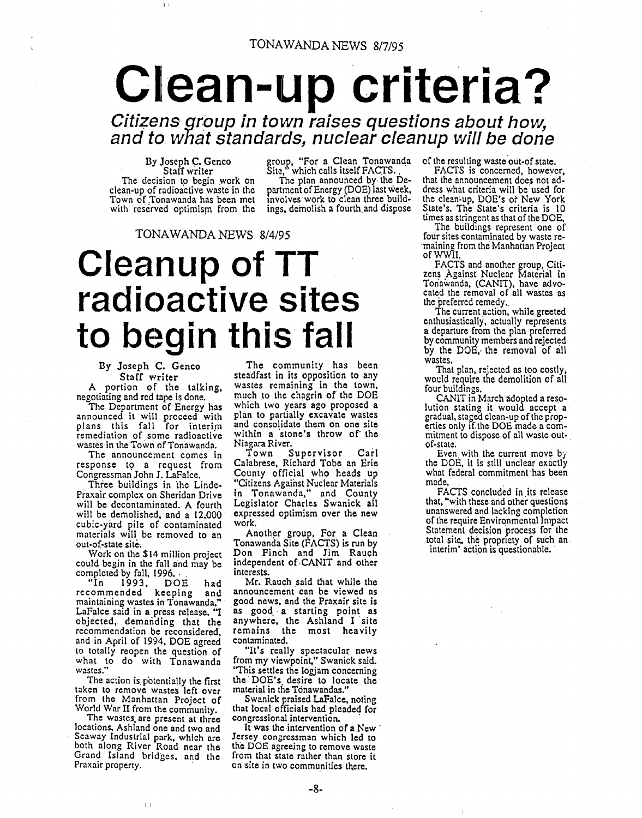# Clean-up criteria?

**Citizens group in** to'wn **raises questions about how, and to what standards, nuclear cleanup will be done** 

By Joseph C. Genco Staff writer<br>The decision to begin work on clean-up of radioactive waste in the Town of Tonawanda has been met with reserved optimism from the group, "For a Clean Tonawanda<br>Site," which calls itself FACTS.

The plan announced by· the Department of Energy (DOE) last week, Involves ·work to clean three buildings, demolish a fourth and dispose

TONAWANDA NEWS 8/4/95

# **Cleanup of TT radioactive sites to begin this fall**

By Joseph C. Genco Staff writer

A portion of the talking, negotiating and red tape is done.

The Department of Energy has announced it will proceed with plans this fall for interim remediation of some radioactive wastes in the Town of Tonawanda.

The announcement comes in response to a request from Congressman John J. LaFalce.

Three buildings in the Linde-Praxair complex on Sheridan Drive will be decontaminated. A fourth will be demolished, and a 12,000 cubic-yard pile of contaminated materials will be removed to an out-of.-state site.

Work on the \$14 million project could begin in the fall and may be

completed by fall, 1996.<br>"In 1993, DOE 1993, DOE had recommended keeping and maintaining wastes in Tonawanda," LaFalce said in a press release. "I objected, demanding that the recommendation be reconsidered, and in April of 1994, DOE agreed to totally reopen the question of what to do with Tonawanda wastes."

The action is potentially the first<br>taken to remove wastes left over from the Manhattan Project of World War II from the community.

The wastes. are present at three locations, Ashland one and two and Seaway Industrizll park, which are both along River Road near the Grand Island bridges, and the Praxair property.

 $|1|$ 

The community has been steadfast in its opposition to any wastes remaining in the town, much to the chagrin of the DOE which two years ago proposed a plan to partially excavate wastes and consolidate them on one site within a stone's throw of the Niagara River.

Town Supervisor Carl Calabrese, Richard Tobe an Erie County official who heads up "Citizens Against Nuclear Materials in Tonawanda," and County Legislator Charles Swanick all expressed optimism over the new work.

Another group, For a Clean Tonawanda Site (FACTS) is run by Don Finch and Jim Rauch independent of ·CANIT and other interests.

Mr. Rauch said that while the announcement can be viewed as good news, and the Praxair site is as good a starting point as anywhere, the Ashland I site remains. the most heavily contaminated.

"It's really spectacular news from my viewpoint." Swanick said. "This settles the logjam concerning the DOE's desire to locate the material in the Tonawandas.'

Swanick praised LaFalce, noting that local officials had pleaded for congressional intervention. .

It was the intervention of a New Jersey congressman which led to the DOE agreeing to remove waste from that state rather than store it on site in two communities there.

of the resulting waste out-of state.

FACTS is concerned, however, that the announcement does not address what criteria will be used for the clean~up, DOE's or New York State's. The State's criteria is 10 times as stringent as that of the DOE,

The buildings represent one of<br>four sites contaminated by waste remaining from the Manhattan Project ofWWII.

FACTS and another group, Citi- zens Against Nuclear Material in Tonawanda, (CANIT), have advocated the removal of all wastes as the preferred remedy .. The current action, while greeted

enthusiastically, actually represents a departure from the plan preferred by community members and rejected by the DOE, the removal of all wastes.

That plan, rejected as too costly, would require the demolition of all four buildings.

CANIT in March adopted a reso- lution stating it would accept a gradual, staged clean-up of the properties only if. the DOE made a com- mitment to dispose of all waste outof-state.

Even with the current move  $b<sub>j</sub>$ the DOE, it is still unclear exactly what federal commitment has been made

FACTS concluded in its release that, "with these and other questions unanswered and lacking completion of the require Environmental Impact Statement decision process for the total site, the propriety of such an.<br>interim' action is questionable.